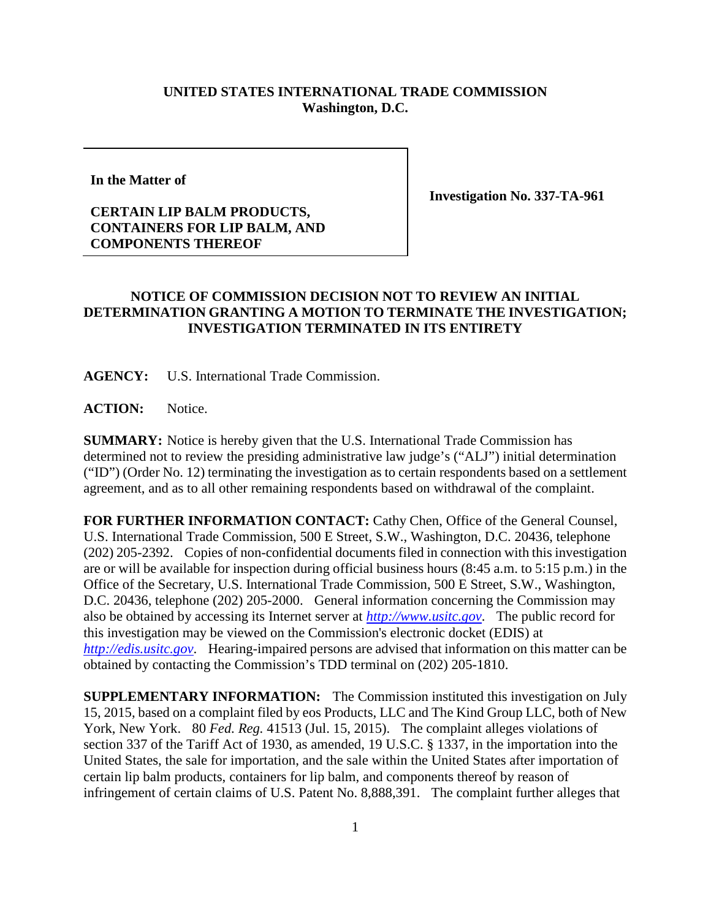## **UNITED STATES INTERNATIONAL TRADE COMMISSION Washington, D.C.**

**In the Matter of**

## **CERTAIN LIP BALM PRODUCTS, CONTAINERS FOR LIP BALM, AND COMPONENTS THEREOF**

**Investigation No. 337-TA-961**

## **NOTICE OF COMMISSION DECISION NOT TO REVIEW AN INITIAL DETERMINATION GRANTING A MOTION TO TERMINATE THE INVESTIGATION; INVESTIGATION TERMINATED IN ITS ENTIRETY**

**AGENCY:** U.S. International Trade Commission.

ACTION: Notice.

**SUMMARY:** Notice is hereby given that the U.S. International Trade Commission has determined not to review the presiding administrative law judge's ("ALJ") initial determination ("ID") (Order No. 12) terminating the investigation as to certain respondents based on a settlement agreement, and as to all other remaining respondents based on withdrawal of the complaint.

**FOR FURTHER INFORMATION CONTACT:** Cathy Chen, Office of the General Counsel, U.S. International Trade Commission, 500 E Street, S.W., Washington, D.C. 20436, telephone (202) 205-2392. Copies of non-confidential documents filed in connection with this investigation are or will be available for inspection during official business hours (8:45 a.m. to 5:15 p.m.) in the Office of the Secretary, U.S. International Trade Commission, 500 E Street, S.W., Washington, D.C. 20436, telephone (202) 205-2000. General information concerning the Commission may also be obtained by accessing its Internet server at *[http://www.usitc.gov](http://www.usitc.gov/)*. The public record for this investigation may be viewed on the Commission's electronic docket (EDIS) at *[http://edis.usitc.gov](http://edis.usitc.gov/)*. Hearing-impaired persons are advised that information on this matter can be obtained by contacting the Commission's TDD terminal on (202) 205-1810.

**SUPPLEMENTARY INFORMATION:** The Commission instituted this investigation on July 15, 2015, based on a complaint filed by eos Products, LLC and The Kind Group LLC, both of New York, New York. 80 *Fed. Reg.* 41513 (Jul. 15, 2015). The complaint alleges violations of section 337 of the Tariff Act of 1930, as amended, 19 U.S.C. § 1337, in the importation into the United States, the sale for importation, and the sale within the United States after importation of certain lip balm products, containers for lip balm, and components thereof by reason of infringement of certain claims of U.S. Patent No. 8,888,391. The complaint further alleges that